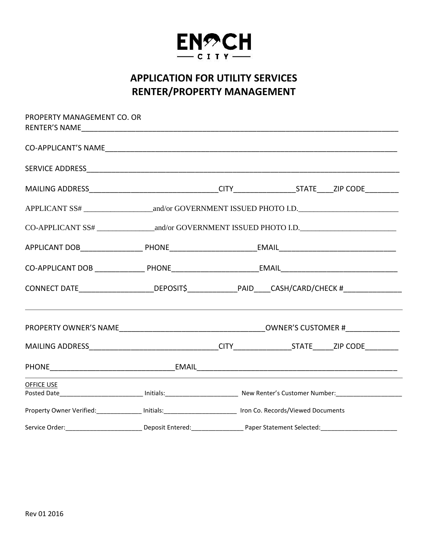

## **APPLICATION FOR UTILITY SERVICES RENTER/PROPERTY MANAGEMENT**

| PROPERTY MANAGEMENT CO. OR                                                                                                                                   |  |  |                                                                                                               |  |  |
|--------------------------------------------------------------------------------------------------------------------------------------------------------------|--|--|---------------------------------------------------------------------------------------------------------------|--|--|
|                                                                                                                                                              |  |  |                                                                                                               |  |  |
|                                                                                                                                                              |  |  |                                                                                                               |  |  |
|                                                                                                                                                              |  |  |                                                                                                               |  |  |
|                                                                                                                                                              |  |  |                                                                                                               |  |  |
|                                                                                                                                                              |  |  |                                                                                                               |  |  |
|                                                                                                                                                              |  |  |                                                                                                               |  |  |
|                                                                                                                                                              |  |  |                                                                                                               |  |  |
| CONNECT DATE______________________DEPOSIT\$________________PAID_____CASH/CARD/CHECK #_______________                                                         |  |  |                                                                                                               |  |  |
|                                                                                                                                                              |  |  |                                                                                                               |  |  |
|                                                                                                                                                              |  |  |                                                                                                               |  |  |
|                                                                                                                                                              |  |  |                                                                                                               |  |  |
| <b>OFFICE USE</b><br>Posted Date_____________________________ Initials:_______________________________ New Renter's Customer Number:________________________ |  |  |                                                                                                               |  |  |
|                                                                                                                                                              |  |  | Property Owner Verified: _______________ Initials: ________________________ Iron Co. Records/Viewed Documents |  |  |
|                                                                                                                                                              |  |  |                                                                                                               |  |  |